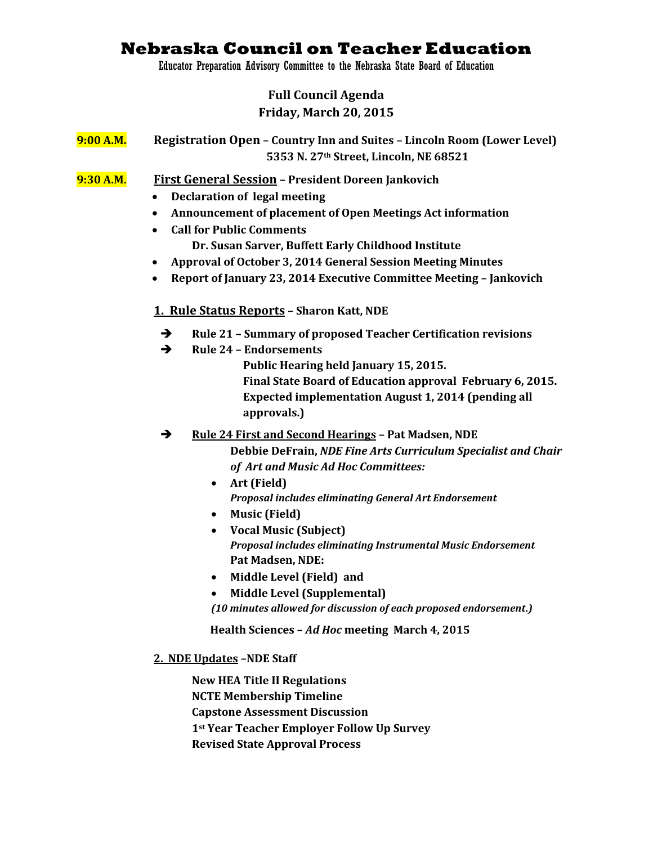# **Nebraska Council on Teacher Education**

Educator Preparation Advisory Committee to the Nebraska State Board of Education

## **Full Council Agenda Friday, March 20, 2015**

**9:00 A.M. Registration Open – Country Inn and Suites – Lincoln Room (Lower Level) 5353 N. 27th Street, Lincoln, NE 68521**

**9:30 A.M. First General Session – President Doreen Jankovich**

- **Declaration of legal meeting**
- **Announcement of placement of Open Meetings Act information**
- **Call for Public Comments**

**Dr. Susan Sarver, Buffett Early Childhood Institute**

- **Approval of October 3, 2014 General Session Meeting Minutes**
- **Report of January 23, 2014 Executive Committee Meeting – Jankovich**

## **1. Rule Status Reports – Sharon Katt, NDE**

- **Rule 21 – Summary of proposed Teacher Certification revisions**
- **Rule 24 – Endorsements**

 **Public Hearing held January 15, 2015. Final State Board of Education approval February 6, 2015. Expected implementation August 1, 2014 (pending all approvals.)**

**Rule 24 First and Second Hearings – Pat Madsen, NDE**

**Debbie DeFrain,** *NDE Fine Arts Curriculum Specialist and Chair of Art and Music Ad Hoc Committees:*

- **Art (Field)**  *Proposal includes eliminating General Art Endorsement*
- **Music (Field)**
- **Vocal Music (Subject)**  *Proposal includes eliminating Instrumental Music Endorsement* **Pat Madsen, NDE:**
- **Middle Level (Field) and**
- **Middle Level (Supplemental)**

*(10 minutes allowed for discussion of each proposed endorsement.)* 

 **Health Sciences –** *Ad Hoc* **meeting March 4, 2015** 

**2. NDE Updates –NDE Staff**

**New HEA Title II Regulations NCTE Membership Timeline Capstone Assessment Discussion 1st Year Teacher Employer Follow Up Survey Revised State Approval Process**